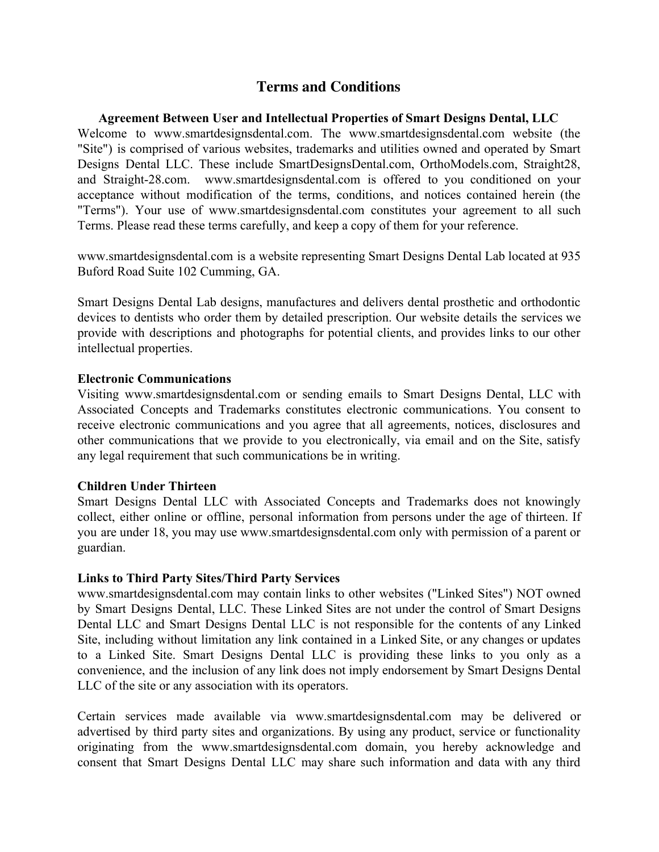# **Terms and Conditions**

# **Agreement Between User and Intellectual Properties of Smart Designs Dental, LLC**

Welcome to www.smartdesignsdental.com. The www.smartdesignsdental.com website (the "Site") is comprised of various websites, trademarks and utilities owned and operated by Smart Designs Dental LLC. These include SmartDesignsDental.com, OrthoModels.com, Straight28, and Straight-28.com. www.smartdesignsdental.com is offered to you conditioned on your acceptance without modification of the terms, conditions, and notices contained herein (the "Terms"). Your use of www.smartdesignsdental.com constitutes your agreement to all such Terms. Please read these terms carefully, and keep a copy of them for your reference.

www.smartdesignsdental.com is a website representing Smart Designs Dental Lab located at 935 Buford Road Suite 102 Cumming, GA.

Smart Designs Dental Lab designs, manufactures and delivers dental prosthetic and orthodontic devices to dentists who order them by detailed prescription. Our website details the services we provide with descriptions and photographs for potential clients, and provides links to our other intellectual properties.

## **Electronic Communications**

Visiting www.smartdesignsdental.com or sending emails to Smart Designs Dental, LLC with Associated Concepts and Trademarks constitutes electronic communications. You consent to receive electronic communications and you agree that all agreements, notices, disclosures and other communications that we provide to you electronically, via email and on the Site, satisfy any legal requirement that such communications be in writing.

# **Children Under Thirteen**

Smart Designs Dental LLC with Associated Concepts and Trademarks does not knowingly collect, either online or offline, personal information from persons under the age of thirteen. If you are under 18, you may use www.smartdesignsdental.com only with permission of a parent or guardian.

#### **Links to Third Party Sites/Third Party Services**

www.smartdesignsdental.com may contain links to other websites ("Linked Sites") NOT owned by Smart Designs Dental, LLC. These Linked Sites are not under the control of Smart Designs Dental LLC and Smart Designs Dental LLC is not responsible for the contents of any Linked Site, including without limitation any link contained in a Linked Site, or any changes or updates to a Linked Site. Smart Designs Dental LLC is providing these links to you only as a convenience, and the inclusion of any link does not imply endorsement by Smart Designs Dental LLC of the site or any association with its operators.

Certain services made available via www.smartdesignsdental.com may be delivered or advertised by third party sites and organizations. By using any product, service or functionality originating from the www.smartdesignsdental.com domain, you hereby acknowledge and consent that Smart Designs Dental LLC may share such information and data with any third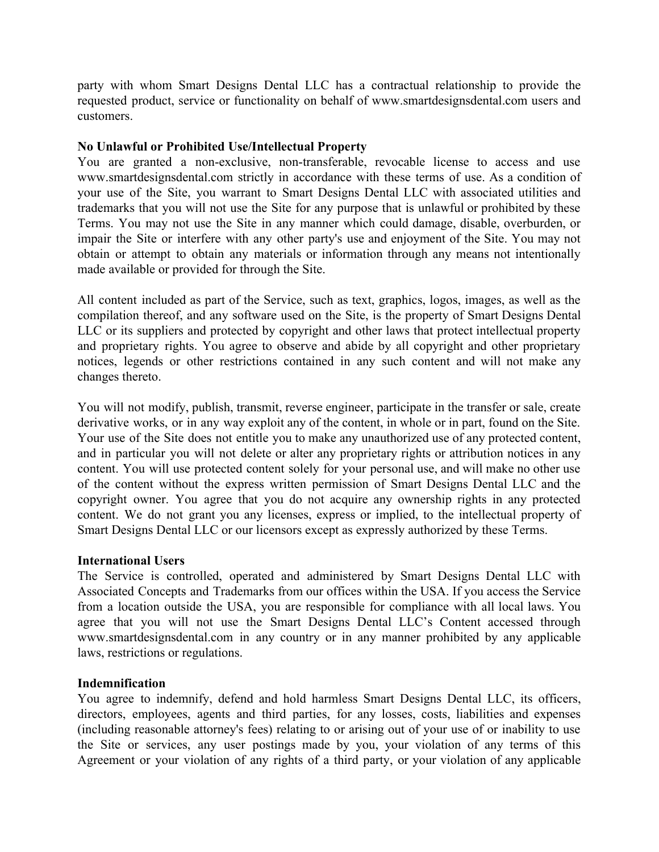party with whom Smart Designs Dental LLC has a contractual relationship to provide the requested product, service or functionality on behalf of www.smartdesignsdental.com users and customers.

### **No Unlawful or Prohibited Use/Intellectual Property**

You are granted a non-exclusive, non-transferable, revocable license to access and use www.smartdesignsdental.com strictly in accordance with these terms of use. As a condition of your use of the Site, you warrant to Smart Designs Dental LLC with associated utilities and trademarks that you will not use the Site for any purpose that is unlawful or prohibited by these Terms. You may not use the Site in any manner which could damage, disable, overburden, or impair the Site or interfere with any other party's use and enjoyment of the Site. You may not obtain or attempt to obtain any materials or information through any means not intentionally made available or provided for through the Site.

All content included as part of the Service, such as text, graphics, logos, images, as well as the compilation thereof, and any software used on the Site, is the property of Smart Designs Dental LLC or its suppliers and protected by copyright and other laws that protect intellectual property and proprietary rights. You agree to observe and abide by all copyright and other proprietary notices, legends or other restrictions contained in any such content and will not make any changes thereto.

You will not modify, publish, transmit, reverse engineer, participate in the transfer or sale, create derivative works, or in any way exploit any of the content, in whole or in part, found on the Site. Your use of the Site does not entitle you to make any unauthorized use of any protected content, and in particular you will not delete or alter any proprietary rights or attribution notices in any content. You will use protected content solely for your personal use, and will make no other use of the content without the express written permission of Smart Designs Dental LLC and the copyright owner. You agree that you do not acquire any ownership rights in any protected content. We do not grant you any licenses, express or implied, to the intellectual property of Smart Designs Dental LLC or our licensors except as expressly authorized by these Terms.

#### **International Users**

The Service is controlled, operated and administered by Smart Designs Dental LLC with Associated Concepts and Trademarks from our offices within the USA. If you access the Service from a location outside the USA, you are responsible for compliance with all local laws. You agree that you will not use the Smart Designs Dental LLC's Content accessed through www.smartdesignsdental.com in any country or in any manner prohibited by any applicable laws, restrictions or regulations.

#### **Indemnification**

You agree to indemnify, defend and hold harmless Smart Designs Dental LLC, its officers, directors, employees, agents and third parties, for any losses, costs, liabilities and expenses (including reasonable attorney's fees) relating to or arising out of your use of or inability to use the Site or services, any user postings made by you, your violation of any terms of this Agreement or your violation of any rights of a third party, or your violation of any applicable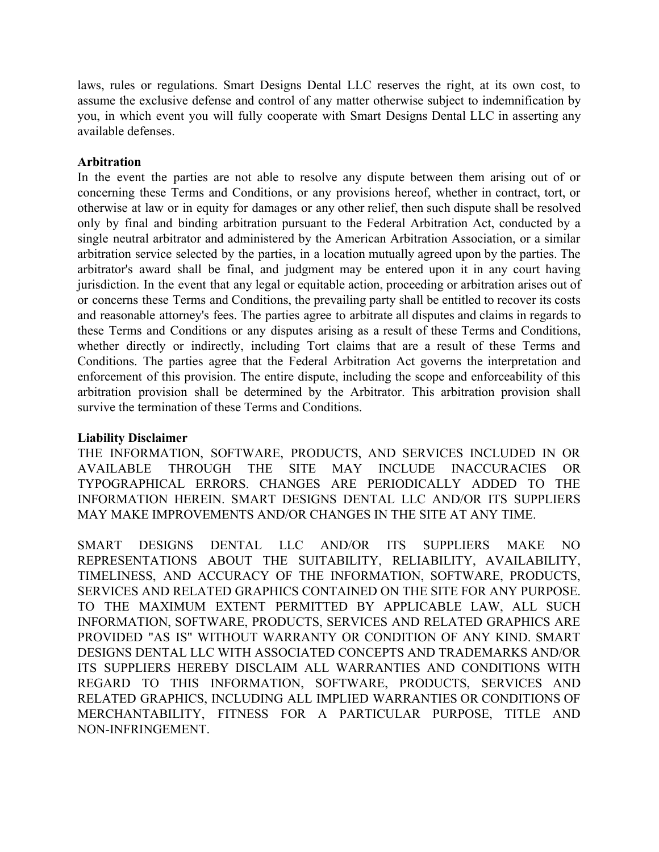laws, rules or regulations. Smart Designs Dental LLC reserves the right, at its own cost, to assume the exclusive defense and control of any matter otherwise subject to indemnification by you, in which event you will fully cooperate with Smart Designs Dental LLC in asserting any available defenses.

## **Arbitration**

In the event the parties are not able to resolve any dispute between them arising out of or concerning these Terms and Conditions, or any provisions hereof, whether in contract, tort, or otherwise at law or in equity for damages or any other relief, then such dispute shall be resolved only by final and binding arbitration pursuant to the Federal Arbitration Act, conducted by a single neutral arbitrator and administered by the American Arbitration Association, or a similar arbitration service selected by the parties, in a location mutually agreed upon by the parties. The arbitrator's award shall be final, and judgment may be entered upon it in any court having jurisdiction. In the event that any legal or equitable action, proceeding or arbitration arises out of or concerns these Terms and Conditions, the prevailing party shall be entitled to recover its costs and reasonable attorney's fees. The parties agree to arbitrate all disputes and claims in regards to these Terms and Conditions or any disputes arising as a result of these Terms and Conditions, whether directly or indirectly, including Tort claims that are a result of these Terms and Conditions. The parties agree that the Federal Arbitration Act governs the interpretation and enforcement of this provision. The entire dispute, including the scope and enforceability of this arbitration provision shall be determined by the Arbitrator. This arbitration provision shall survive the termination of these Terms and Conditions.

#### **Liability Disclaimer**

THE INFORMATION, SOFTWARE, PRODUCTS, AND SERVICES INCLUDED IN OR AVAILABLE THROUGH THE SITE MAY INCLUDE INACCURACIES OR TYPOGRAPHICAL ERRORS. CHANGES ARE PERIODICALLY ADDED TO THE INFORMATION HEREIN. SMART DESIGNS DENTAL LLC AND/OR ITS SUPPLIERS MAY MAKE IMPROVEMENTS AND/OR CHANGES IN THE SITE AT ANY TIME.

SMART DESIGNS DENTAL LLC AND/OR ITS SUPPLIERS MAKE NO REPRESENTATIONS ABOUT THE SUITABILITY, RELIABILITY, AVAILABILITY, TIMELINESS, AND ACCURACY OF THE INFORMATION, SOFTWARE, PRODUCTS, SERVICES AND RELATED GRAPHICS CONTAINED ON THE SITE FOR ANY PURPOSE. TO THE MAXIMUM EXTENT PERMITTED BY APPLICABLE LAW, ALL SUCH INFORMATION, SOFTWARE, PRODUCTS, SERVICES AND RELATED GRAPHICS ARE PROVIDED "AS IS" WITHOUT WARRANTY OR CONDITION OF ANY KIND. SMART DESIGNS DENTAL LLC WITH ASSOCIATED CONCEPTS AND TRADEMARKS AND/OR ITS SUPPLIERS HEREBY DISCLAIM ALL WARRANTIES AND CONDITIONS WITH REGARD TO THIS INFORMATION, SOFTWARE, PRODUCTS, SERVICES AND RELATED GRAPHICS, INCLUDING ALL IMPLIED WARRANTIES OR CONDITIONS OF MERCHANTABILITY, FITNESS FOR A PARTICULAR PURPOSE, TITLE AND NON-INFRINGEMENT.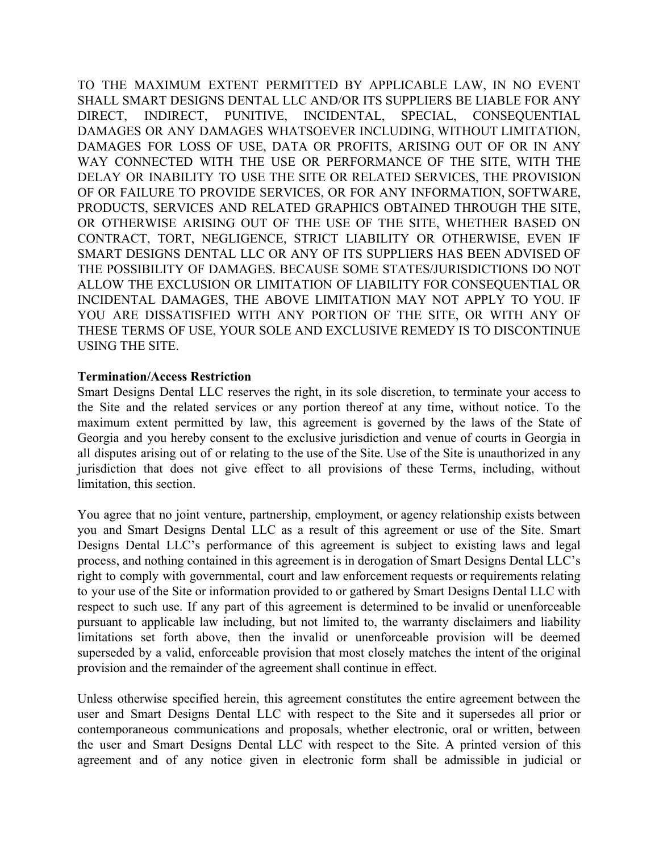TO THE MAXIMUM EXTENT PERMITTED BY APPLICABLE LAW, IN NO EVENT SHALL SMART DESIGNS DENTAL LLC AND/OR ITS SUPPLIERS BE LIABLE FOR ANY DIRECT, INDIRECT, PUNITIVE, INCIDENTAL, SPECIAL, CONSEQUENTIAL DAMAGES OR ANY DAMAGES WHATSOEVER INCLUDING, WITHOUT LIMITATION, DAMAGES FOR LOSS OF USE, DATA OR PROFITS, ARISING OUT OF OR IN ANY WAY CONNECTED WITH THE USE OR PERFORMANCE OF THE SITE, WITH THE DELAY OR INABILITY TO USE THE SITE OR RELATED SERVICES, THE PROVISION OF OR FAILURE TO PROVIDE SERVICES, OR FOR ANY INFORMATION, SOFTWARE, PRODUCTS, SERVICES AND RELATED GRAPHICS OBTAINED THROUGH THE SITE, OR OTHERWISE ARISING OUT OF THE USE OF THE SITE, WHETHER BASED ON CONTRACT, TORT, NEGLIGENCE, STRICT LIABILITY OR OTHERWISE, EVEN IF SMART DESIGNS DENTAL LLC OR ANY OF ITS SUPPLIERS HAS BEEN ADVISED OF THE POSSIBILITY OF DAMAGES. BECAUSE SOME STATES/JURISDICTIONS DO NOT ALLOW THE EXCLUSION OR LIMITATION OF LIABILITY FOR CONSEQUENTIAL OR INCIDENTAL DAMAGES, THE ABOVE LIMITATION MAY NOT APPLY TO YOU. IF YOU ARE DISSATISFIED WITH ANY PORTION OF THE SITE, OR WITH ANY OF THESE TERMS OF USE, YOUR SOLE AND EXCLUSIVE REMEDY IS TO DISCONTINUE USING THE SITE.

#### **Termination/Access Restriction**

Smart Designs Dental LLC reserves the right, in its sole discretion, to terminate your access to the Site and the related services or any portion thereof at any time, without notice. To the maximum extent permitted by law, this agreement is governed by the laws of the State of Georgia and you hereby consent to the exclusive jurisdiction and venue of courts in Georgia in all disputes arising out of or relating to the use of the Site. Use of the Site is unauthorized in any jurisdiction that does not give effect to all provisions of these Terms, including, without limitation, this section.

You agree that no joint venture, partnership, employment, or agency relationship exists between you and Smart Designs Dental LLC as a result of this agreement or use of the Site. Smart Designs Dental LLC's performance of this agreement is subject to existing laws and legal process, and nothing contained in this agreement is in derogation of Smart Designs Dental LLC's right to comply with governmental, court and law enforcement requests or requirements relating to your use of the Site or information provided to or gathered by Smart Designs Dental LLC with respect to such use. If any part of this agreement is determined to be invalid or unenforceable pursuant to applicable law including, but not limited to, the warranty disclaimers and liability limitations set forth above, then the invalid or unenforceable provision will be deemed superseded by a valid, enforceable provision that most closely matches the intent of the original provision and the remainder of the agreement shall continue in effect.

Unless otherwise specified herein, this agreement constitutes the entire agreement between the user and Smart Designs Dental LLC with respect to the Site and it supersedes all prior or contemporaneous communications and proposals, whether electronic, oral or written, between the user and Smart Designs Dental LLC with respect to the Site. A printed version of this agreement and of any notice given in electronic form shall be admissible in judicial or